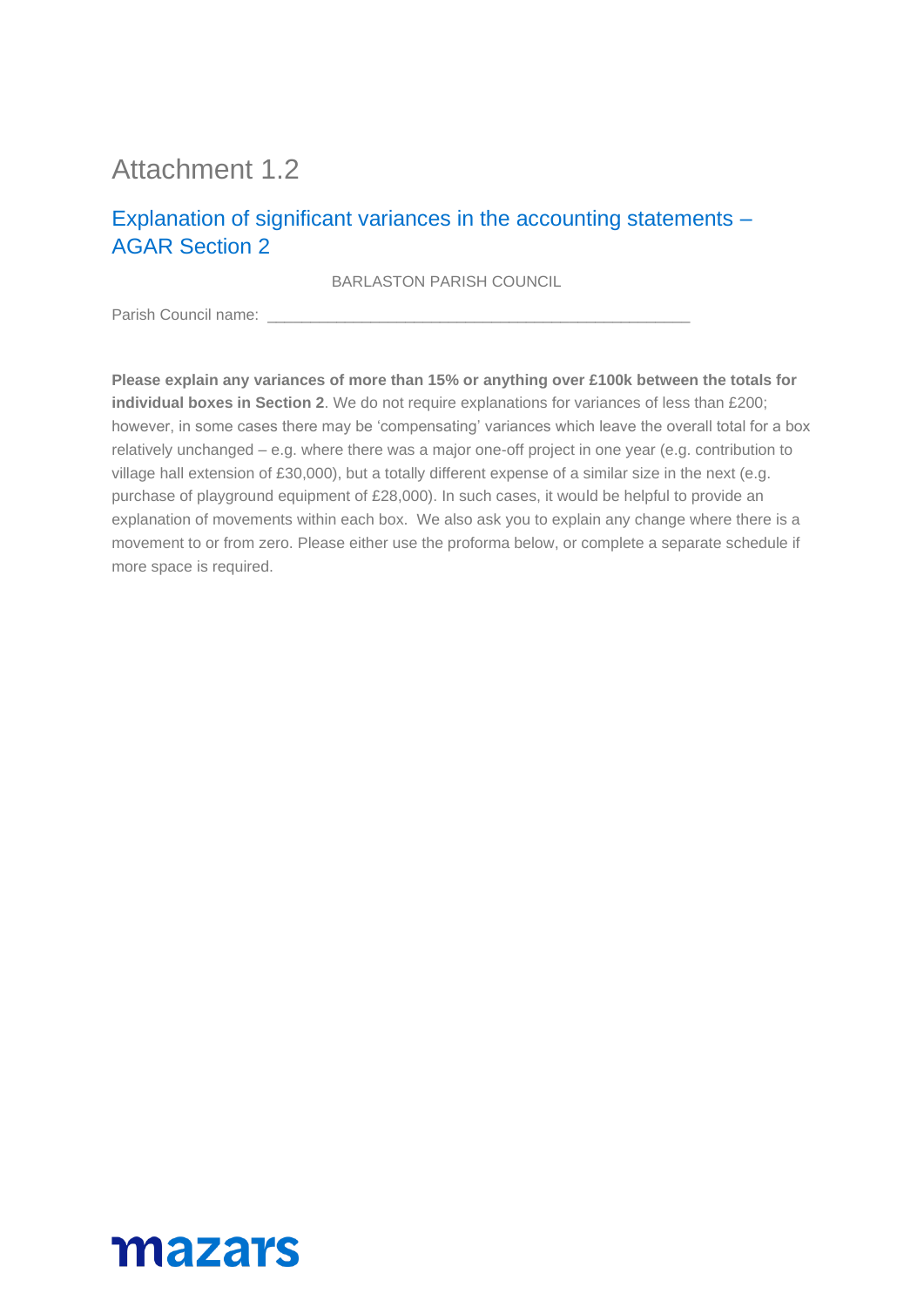# Attachment 1.2

#### Explanation of significant variances in the accounting statements – AGAR Section 2

BARLASTON PARISH COUNCIL

Parish Council name:

**Please explain any variances of more than 15% or anything over £100k between the totals for individual boxes in Section 2**. We do not require explanations for variances of less than £200; however, in some cases there may be 'compensating' variances which leave the overall total for a box relatively unchanged – e.g. where there was a major one-off project in one year (e.g. contribution to village hall extension of £30,000), but a totally different expense of a similar size in the next (e.g. purchase of playground equipment of £28,000). In such cases, it would be helpful to provide an explanation of movements within each box. We also ask you to explain any change where there is a movement to or from zero. Please either use the proforma below, or complete a separate schedule if more space is required.

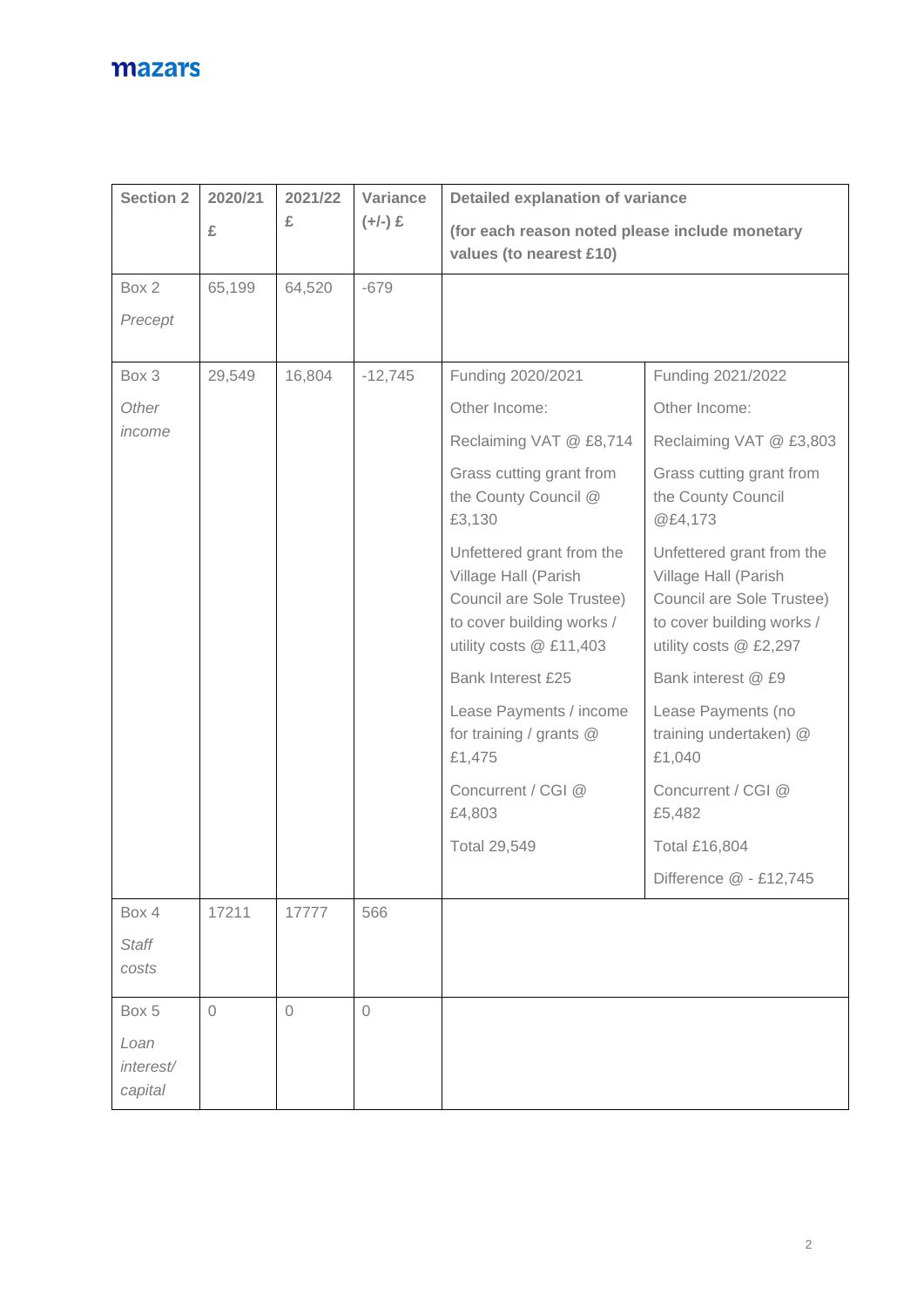| <b>Section 2</b>                      | 2020/21    | 2021/22     | Variance            | <b>Detailed explanation of variance</b><br>(for each reason noted please include monetary<br>values (to nearest £10)                   |                                                                                                                                       |  |
|---------------------------------------|------------|-------------|---------------------|----------------------------------------------------------------------------------------------------------------------------------------|---------------------------------------------------------------------------------------------------------------------------------------|--|
|                                       | £          | £           | $(+/-)$ £           |                                                                                                                                        |                                                                                                                                       |  |
| Box 2                                 | 65,199     | 64,520      | $-679$              |                                                                                                                                        |                                                                                                                                       |  |
| Precept                               |            |             |                     |                                                                                                                                        |                                                                                                                                       |  |
| Box 3                                 | 29,549     | 16,804      | $-12,745$           | Funding 2020/2021                                                                                                                      | Funding 2021/2022                                                                                                                     |  |
| Other                                 |            |             |                     | Other Income:                                                                                                                          | Other Income:                                                                                                                         |  |
| income                                |            |             |                     | Reclaiming VAT @ £8,714                                                                                                                | Reclaiming VAT @ £3,803                                                                                                               |  |
|                                       |            |             |                     | Grass cutting grant from<br>the County Council @<br>£3,130                                                                             | Grass cutting grant from<br>the County Council<br>@£4,173                                                                             |  |
|                                       |            |             |                     | Unfettered grant from the<br>Village Hall (Parish<br>Council are Sole Trustee)<br>to cover building works /<br>utility costs @ £11,403 | Unfettered grant from the<br>Village Hall (Parish<br>Council are Sole Trustee)<br>to cover building works /<br>utility costs @ £2,297 |  |
|                                       |            |             |                     | Bank Interest £25                                                                                                                      | Bank interest @ £9                                                                                                                    |  |
|                                       |            |             |                     | Lease Payments / income<br>for training / grants @<br>£1,475                                                                           | Lease Payments (no<br>training undertaken) @<br>£1,040                                                                                |  |
|                                       |            |             |                     | Concurrent / CGI @<br>£4,803                                                                                                           | Concurrent / CGI @<br>£5,482                                                                                                          |  |
|                                       |            |             |                     | <b>Total 29,549</b>                                                                                                                    | <b>Total £16,804</b>                                                                                                                  |  |
|                                       |            |             |                     |                                                                                                                                        | Difference @ - £12,745                                                                                                                |  |
| Box 4                                 | 17211      | 17777       | 566                 |                                                                                                                                        |                                                                                                                                       |  |
| <b>Staff</b><br>costs                 |            |             |                     |                                                                                                                                        |                                                                                                                                       |  |
| Box 5<br>Loan<br>interest/<br>capital | $\sqrt{a}$ | $\mathbf 0$ | $\circlearrowright$ |                                                                                                                                        |                                                                                                                                       |  |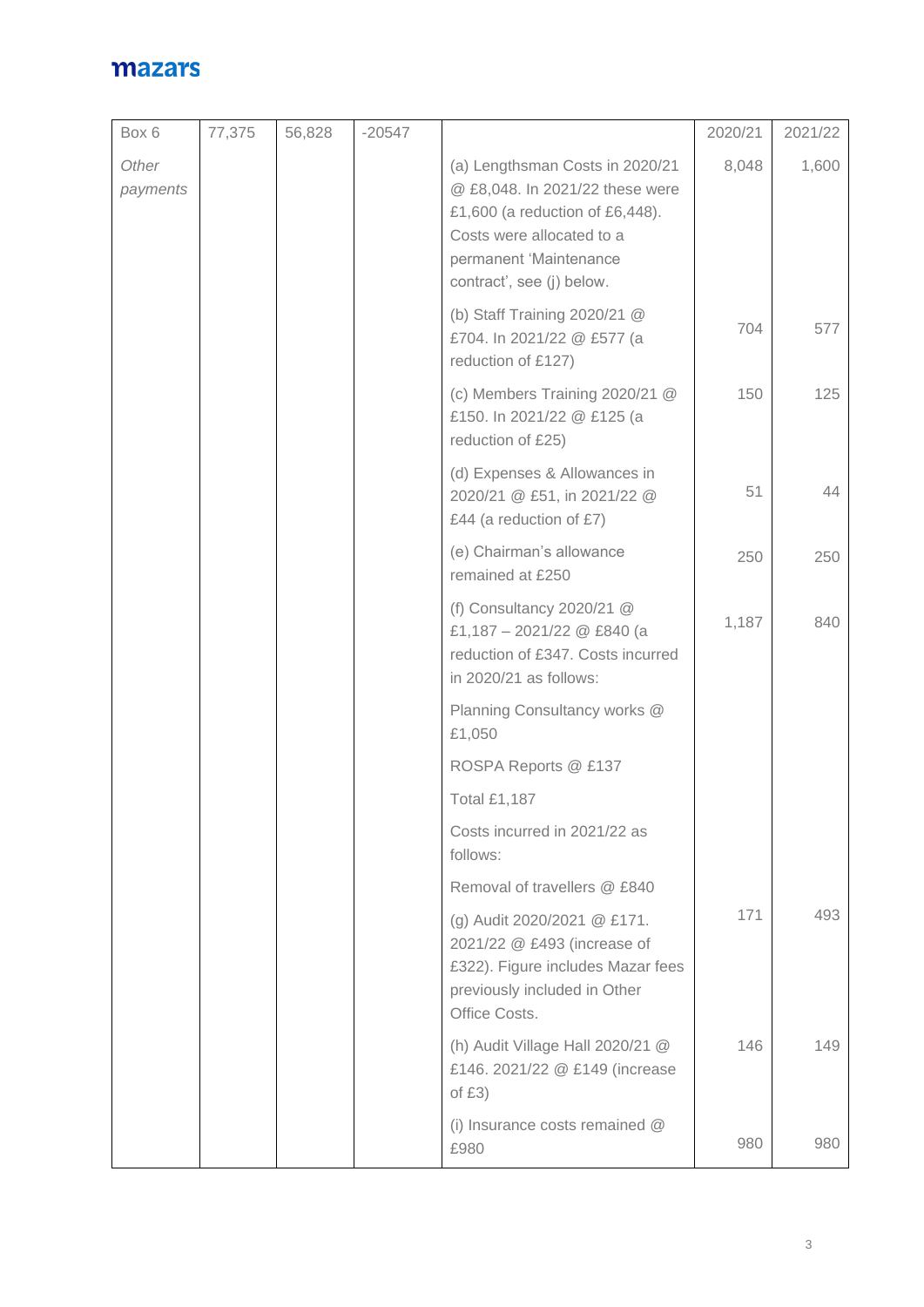| Box 6             | 77,375 | 56,828 | $-20547$ |                                                                                                                                                                                           | 2020/21 | 2021/22 |
|-------------------|--------|--------|----------|-------------------------------------------------------------------------------------------------------------------------------------------------------------------------------------------|---------|---------|
| Other<br>payments |        |        |          | (a) Lengthsman Costs in 2020/21<br>@ £8,048. In 2021/22 these were<br>£1,600 (a reduction of £6,448).<br>Costs were allocated to a<br>permanent 'Maintenance<br>contract', see (j) below. | 8,048   | 1,600   |
|                   |        |        |          | (b) Staff Training 2020/21 @<br>£704. In 2021/22 @ £577 (a<br>reduction of £127)                                                                                                          | 704     | 577     |
|                   |        |        |          | (c) Members Training 2020/21 @<br>£150. In 2021/22 @ £125 (a<br>reduction of £25)                                                                                                         | 150     | 125     |
|                   |        |        |          | (d) Expenses & Allowances in<br>2020/21 @ £51, in 2021/22 @<br>£44 (a reduction of £7)                                                                                                    | 51      | 44      |
|                   |        |        |          | (e) Chairman's allowance<br>remained at £250                                                                                                                                              | 250     | 250     |
|                   |        |        |          | (f) Consultancy $2020/21$ @<br>£1,187 - 2021/22 @ £840 (a<br>reduction of £347. Costs incurred<br>in 2020/21 as follows:                                                                  | 1,187   | 840     |
|                   |        |        |          | Planning Consultancy works @<br>£1,050                                                                                                                                                    |         |         |
|                   |        |        |          | ROSPA Reports @ £137                                                                                                                                                                      |         |         |
|                   |        |        |          | <b>Total £1,187</b>                                                                                                                                                                       |         |         |
|                   |        |        |          | Costs incurred in 2021/22 as<br>follows:                                                                                                                                                  |         |         |
|                   |        |        |          | Removal of travellers @ £840                                                                                                                                                              |         |         |
|                   |        |        |          | (g) Audit 2020/2021 @ £171.<br>2021/22 @ £493 (increase of<br>£322). Figure includes Mazar fees<br>previously included in Other<br>Office Costs.                                          | 171     | 493     |
|                   |        |        |          | (h) Audit Village Hall 2020/21 @<br>£146. 2021/22 @ £149 (increase<br>of $£3)$                                                                                                            | 146     | 149     |
|                   |        |        |          | (i) Insurance costs remained @<br>£980                                                                                                                                                    | 980     | 980     |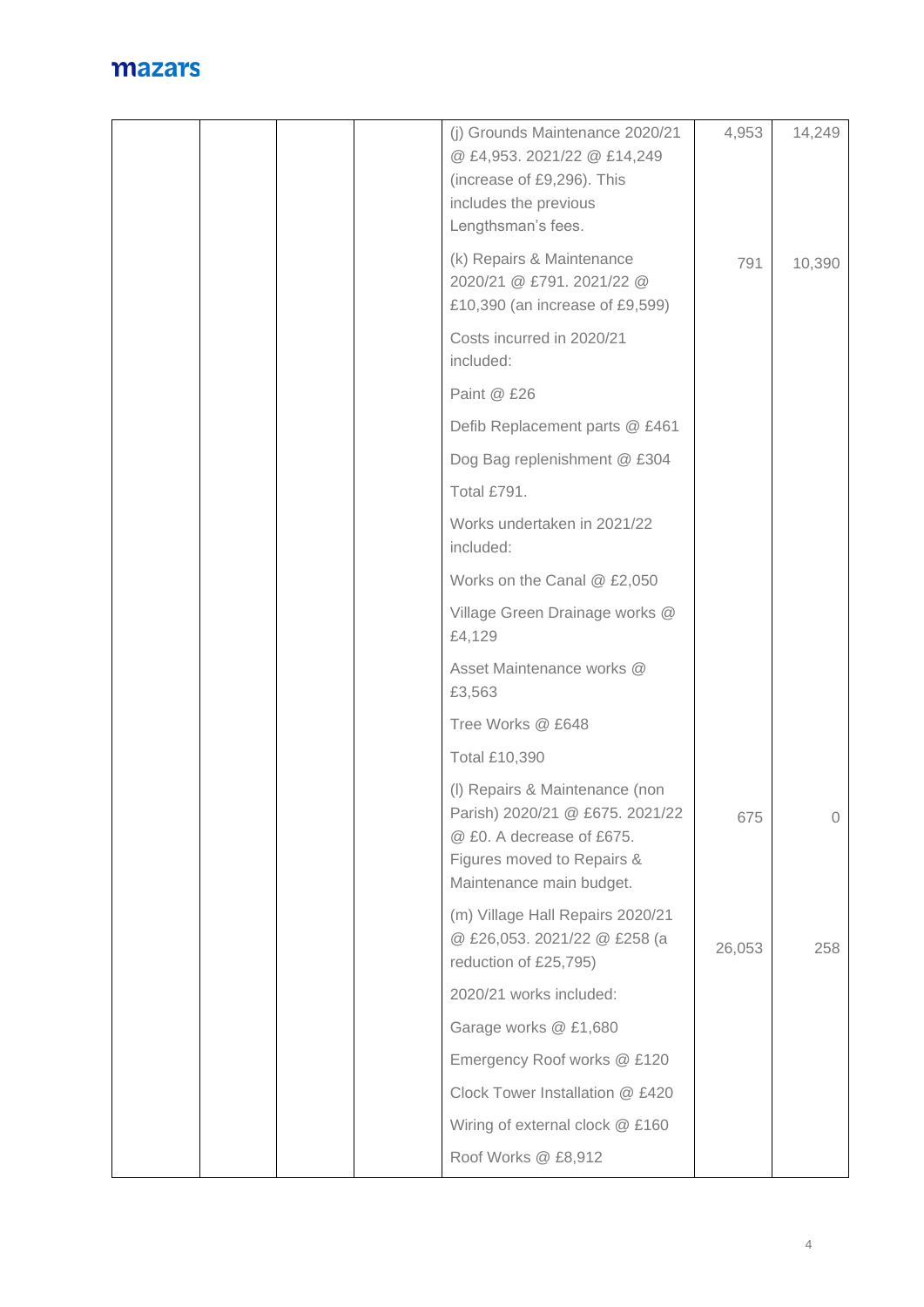| (j) Grounds Maintenance 2020/21<br>@ £4,953. 2021/22 @ £14,249<br>(increase of £9,296). This<br>includes the previous<br>Lengthsman's fees.              | 4,953  | 14,249 |
|----------------------------------------------------------------------------------------------------------------------------------------------------------|--------|--------|
| (k) Repairs & Maintenance<br>2020/21 @ £791.2021/22 @<br>£10,390 (an increase of £9,599)                                                                 | 791    | 10,390 |
| Costs incurred in 2020/21<br>included:                                                                                                                   |        |        |
| Paint @ £26                                                                                                                                              |        |        |
| Defib Replacement parts @ £461                                                                                                                           |        |        |
| Dog Bag replenishment @ £304                                                                                                                             |        |        |
| Total £791.                                                                                                                                              |        |        |
| Works undertaken in 2021/22<br>included:                                                                                                                 |        |        |
| Works on the Canal @ £2,050                                                                                                                              |        |        |
| Village Green Drainage works @<br>£4,129                                                                                                                 |        |        |
| Asset Maintenance works @<br>£3,563                                                                                                                      |        |        |
| Tree Works @ £648                                                                                                                                        |        |        |
| <b>Total £10,390</b>                                                                                                                                     |        |        |
| (I) Repairs & Maintenance (non<br>Parish) 2020/21 @ £675. 2021/22<br>@ £0. A decrease of £675.<br>Figures moved to Repairs &<br>Maintenance main budget. | 675    | $\cup$ |
| (m) Village Hall Repairs 2020/21<br>@ £26,053. 2021/22 @ £258 (a<br>reduction of £25,795)                                                                | 26,053 | 258    |
| 2020/21 works included:                                                                                                                                  |        |        |
| Garage works @ £1,680                                                                                                                                    |        |        |
| Emergency Roof works @ £120                                                                                                                              |        |        |
| Clock Tower Installation @ £420                                                                                                                          |        |        |
| Wiring of external clock @ £160                                                                                                                          |        |        |
| Roof Works @ £8,912                                                                                                                                      |        |        |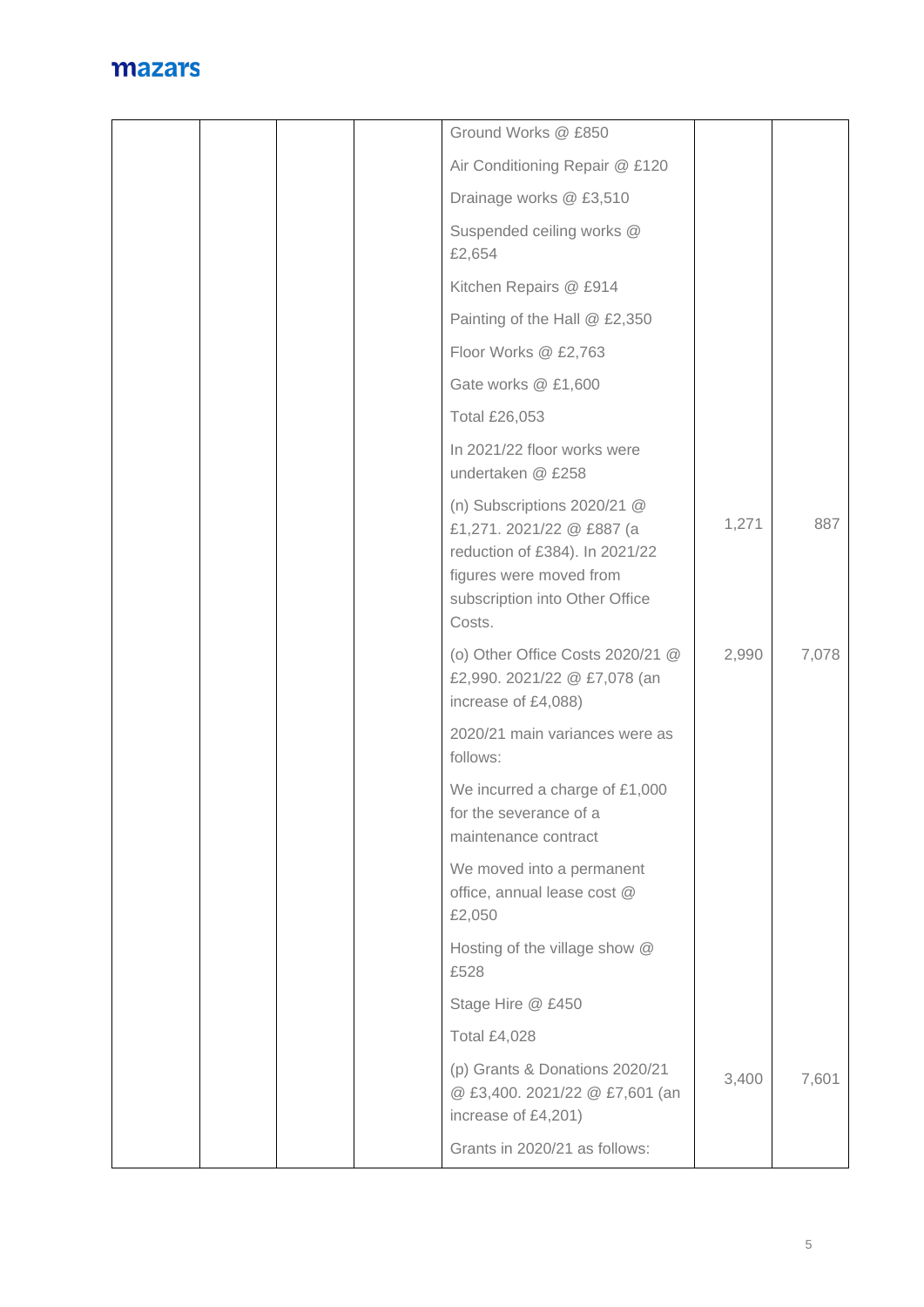|  | Ground Works @ £850                                                                                                                                                 |       |       |
|--|---------------------------------------------------------------------------------------------------------------------------------------------------------------------|-------|-------|
|  | Air Conditioning Repair @ £120                                                                                                                                      |       |       |
|  | Drainage works @ £3,510                                                                                                                                             |       |       |
|  | Suspended ceiling works @<br>£2,654                                                                                                                                 |       |       |
|  | Kitchen Repairs @ £914                                                                                                                                              |       |       |
|  | Painting of the Hall @ £2,350                                                                                                                                       |       |       |
|  | Floor Works @ £2,763                                                                                                                                                |       |       |
|  | Gate works @ £1,600                                                                                                                                                 |       |       |
|  | Total £26,053                                                                                                                                                       |       |       |
|  | In 2021/22 floor works were<br>undertaken @ £258                                                                                                                    |       |       |
|  | (n) Subscriptions $2020/21$ @<br>£1,271. 2021/22 @ £887 (a<br>reduction of £384). In 2021/22<br>figures were moved from<br>subscription into Other Office<br>Costs. | 1,271 | 887   |
|  | (o) Other Office Costs 2020/21 @<br>£2,990. 2021/22 @ £7,078 (an<br>increase of £4,088)                                                                             | 2,990 | 7,078 |
|  | 2020/21 main variances were as<br>follows:                                                                                                                          |       |       |
|  | We incurred a charge of £1,000<br>for the severance of a<br>maintenance contract                                                                                    |       |       |
|  | We moved into a permanent<br>office, annual lease cost @<br>£2,050                                                                                                  |       |       |
|  | Hosting of the village show @<br>£528                                                                                                                               |       |       |
|  | Stage Hire @ £450                                                                                                                                                   |       |       |
|  | <b>Total £4,028</b>                                                                                                                                                 |       |       |
|  | (p) Grants & Donations 2020/21<br>@ £3,400. 2021/22 @ £7,601 (an<br>increase of £4,201)                                                                             | 3,400 | 7,601 |
|  | Grants in 2020/21 as follows:                                                                                                                                       |       |       |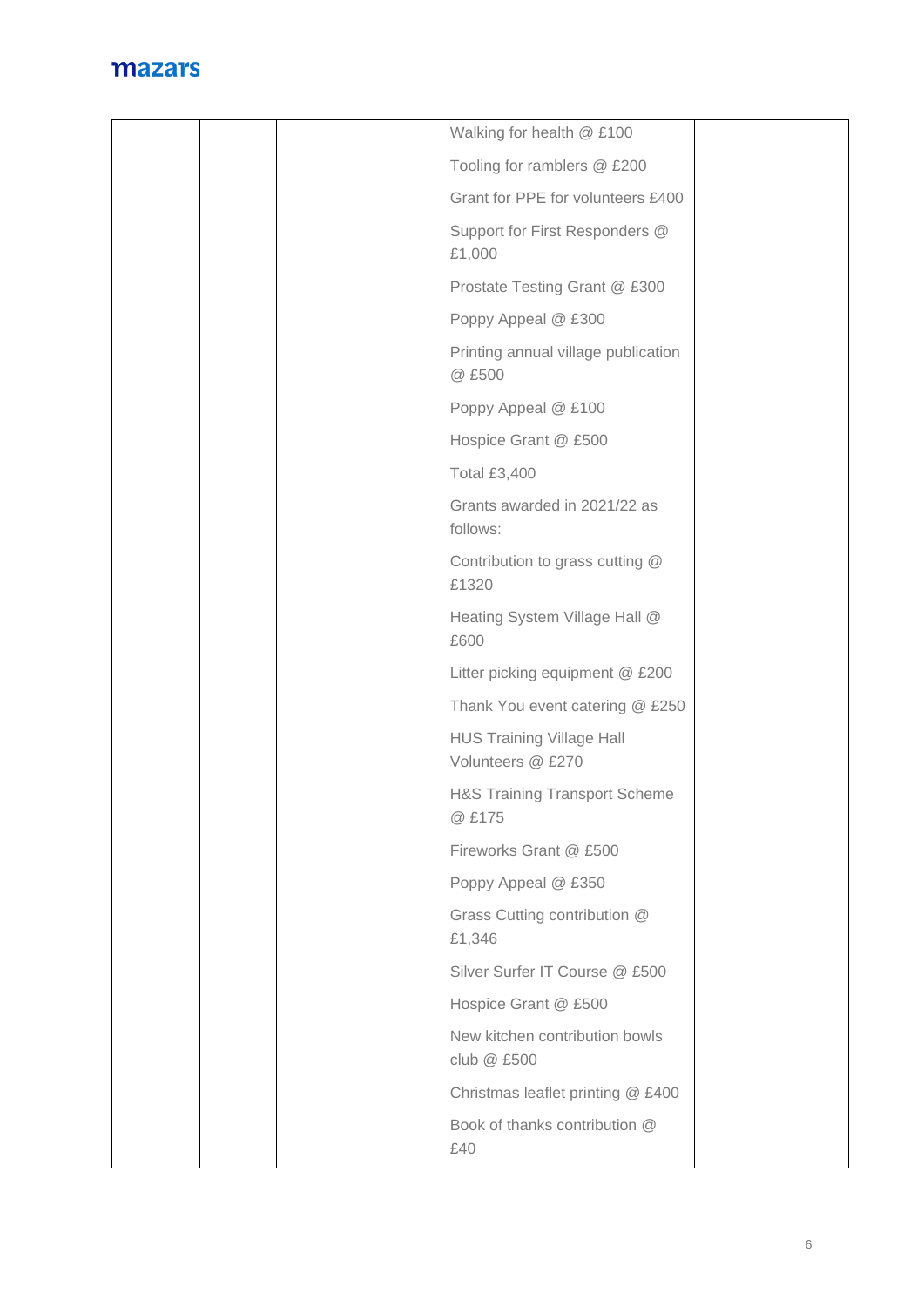|  |  | Walking for health @ £100                             |  |
|--|--|-------------------------------------------------------|--|
|  |  | Tooling for ramblers @ £200                           |  |
|  |  | Grant for PPE for volunteers £400                     |  |
|  |  | Support for First Responders @<br>£1,000              |  |
|  |  | Prostate Testing Grant @ £300                         |  |
|  |  | Poppy Appeal @ £300                                   |  |
|  |  | Printing annual village publication<br>@ £500         |  |
|  |  | Poppy Appeal @ £100                                   |  |
|  |  | Hospice Grant @ £500                                  |  |
|  |  | <b>Total £3,400</b>                                   |  |
|  |  | Grants awarded in 2021/22 as<br>follows:              |  |
|  |  | Contribution to grass cutting @<br>£1320              |  |
|  |  | Heating System Village Hall @<br>£600                 |  |
|  |  | Litter picking equipment @ £200                       |  |
|  |  | Thank You event catering @ £250                       |  |
|  |  | <b>HUS Training Village Hall</b><br>Volunteers @ £270 |  |
|  |  | <b>H&amp;S Training Transport Scheme</b><br>@ £175    |  |
|  |  | Fireworks Grant @ £500                                |  |
|  |  | Poppy Appeal @ £350                                   |  |
|  |  | Grass Cutting contribution @<br>£1,346                |  |
|  |  | Silver Surfer IT Course @ £500                        |  |
|  |  | Hospice Grant @ £500                                  |  |
|  |  | New kitchen contribution bowls<br>club @ £500         |  |
|  |  | Christmas leaflet printing @ £400                     |  |
|  |  | Book of thanks contribution @<br>£40                  |  |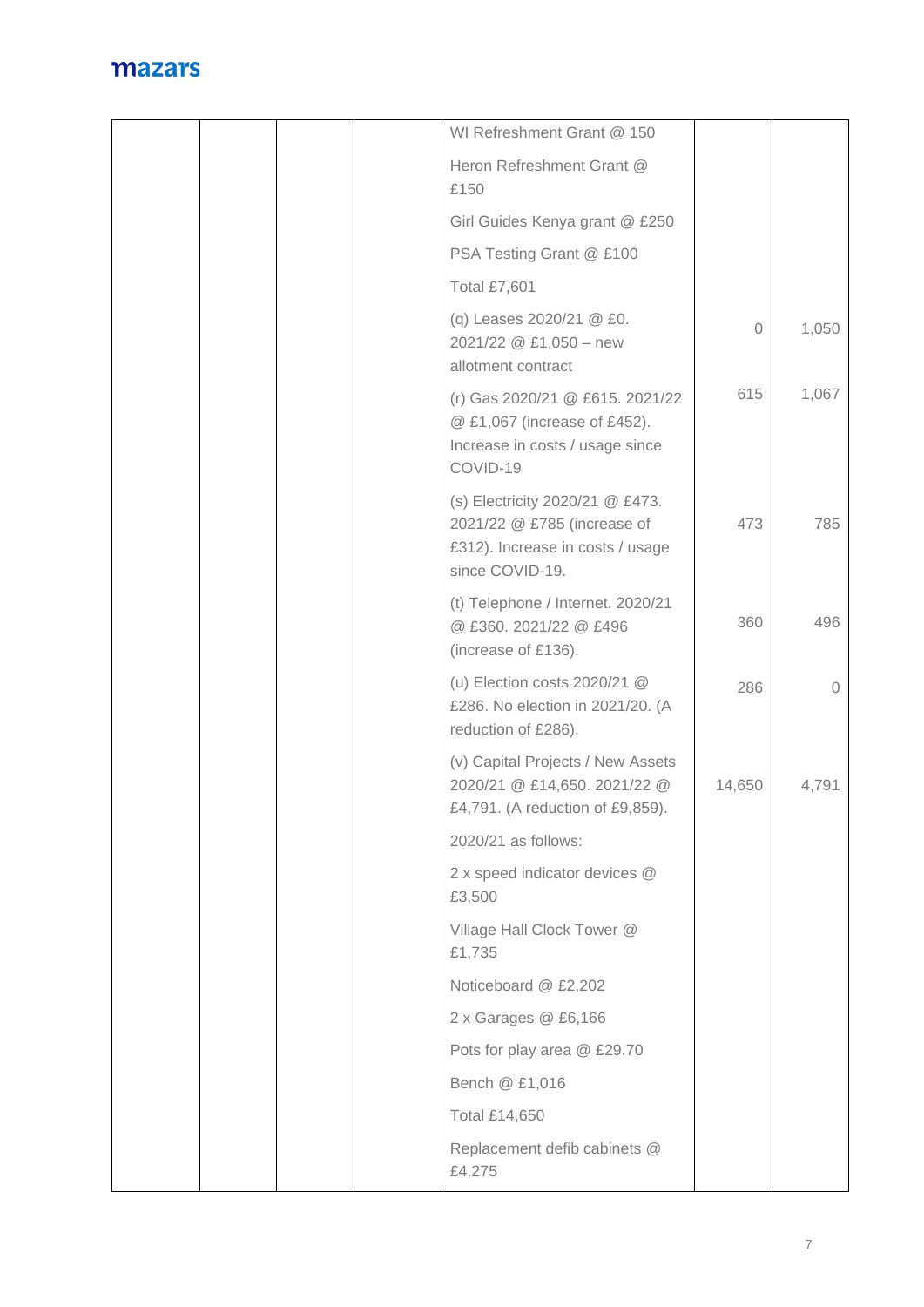|  |  | WI Refreshment Grant @ 150                                                                                            |          |          |
|--|--|-----------------------------------------------------------------------------------------------------------------------|----------|----------|
|  |  | Heron Refreshment Grant @<br>£150                                                                                     |          |          |
|  |  | Girl Guides Kenya grant @ £250                                                                                        |          |          |
|  |  | PSA Testing Grant @ £100                                                                                              |          |          |
|  |  | <b>Total £7,601</b>                                                                                                   |          |          |
|  |  | (q) Leases 2020/21 @ £0.<br>2021/22 @ £1,050 - new<br>allotment contract                                              | $\Omega$ | 1,050    |
|  |  | (r) Gas 2020/21 @ £615. 2021/22<br>@ £1,067 (increase of £452).<br>Increase in costs / usage since<br>COVID-19        | 615      | 1,067    |
|  |  | (s) Electricity 2020/21 @ £473.<br>2021/22 @ £785 (increase of<br>£312). Increase in costs / usage<br>since COVID-19. | 473      | 785      |
|  |  | (t) Telephone / Internet. 2020/21<br>@ £360.2021/22 @ £496<br>(increase of £136).                                     | 360      | 496      |
|  |  | (u) Election costs $2020/21$ @<br>£286. No election in 2021/20. (A<br>reduction of £286).                             | 286      | $\Omega$ |
|  |  | (v) Capital Projects / New Assets<br>2020/21 @ £14,650. 2021/22 @<br>£4,791. (A reduction of £9,859).                 | 14,650   | 4,791    |
|  |  | 2020/21 as follows:                                                                                                   |          |          |
|  |  | 2 x speed indicator devices @<br>£3,500                                                                               |          |          |
|  |  | Village Hall Clock Tower @<br>£1,735                                                                                  |          |          |
|  |  | Noticeboard @ £2,202                                                                                                  |          |          |
|  |  | 2 x Garages @ £6,166                                                                                                  |          |          |
|  |  | Pots for play area @ £29.70                                                                                           |          |          |
|  |  | Bench @ £1,016                                                                                                        |          |          |
|  |  | <b>Total £14,650</b>                                                                                                  |          |          |
|  |  | Replacement defib cabinets @<br>£4,275                                                                                |          |          |